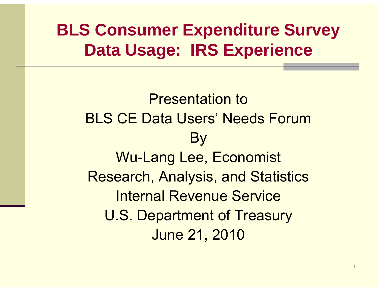### **BLS Consumer Expenditure Survey Data Usage: IRS Experience**

Presentation toBLS CE Data Users' Needs ForumB y Wu-Lang Lee, Economist Research, Analysis, and Statistics Internal Revenue ServiceU.S. Department of Treasury June 21, 2010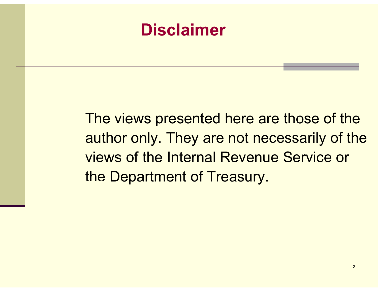### **Disclaimer**

The views presented here are those of the author only. They are not necessarily of the views of the Internal Revenue Service or the Department of Treasury.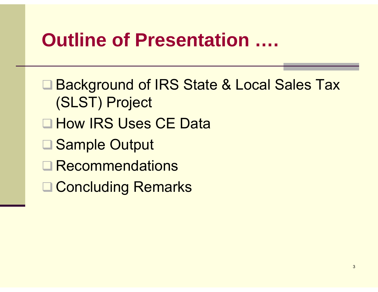### **Outline of Presentation Presentation ….**

- **Background of IRS State & Local Sales Tax** (SLST) Project
- **□ How IRS Uses CE Data**
- **□ Sample Output**
- $\Box$ Recommendations
- **□ Concluding Remarks**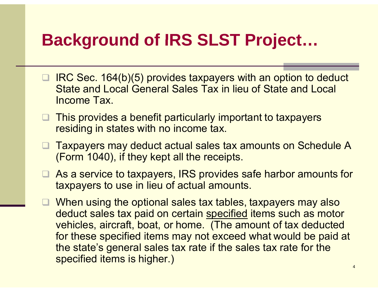### **Background of IRS SLST Project …**

- IRC Sec. 164(b)(5) provides taxpayers with an option to deduct State and Local General Sales Tax in lieu of State and Local Income Tax.
- □ This provides a benefit particularly important to taxpayers residing in states with no income tax.
- $\Box$  Taxpayers may deduct actual sales tax amounts on Schedule A (Form 1040), if they kept all the receipts.
- **As a service to taxpayers, IRS provides safe harbor amounts for** taxpayers to use in lieu o f actual amounts.
- When using the optional sales tax tables, taxpayers may also deduct sales tax paid on certain specified items such as motor vehicles, aircraft, boat, or home. (The amount of tax deducted for these specified items may not exceed what would be paid at the state's general sales tax rate if the sales tax rate for the specified items is higher.)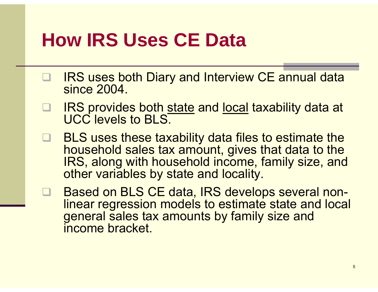## **How IRS Uses CE Data**

- $\Box$ IRS uses both Diary and Interview CE annual data since 2004.
- $\Box$ IRS provides both state and local taxability data at UCC levels to BLS.
- $\Box$  BLS uses these taxability data files to estimate the household sales tax amount, gives that data to the IRS, along with household income, family size, and other variables by state and locality.
- $\Box$  Based on BLS CE data, IRS develops several nonlinear regression models to estimate state and local general sales tax amounts by family size and income bracket.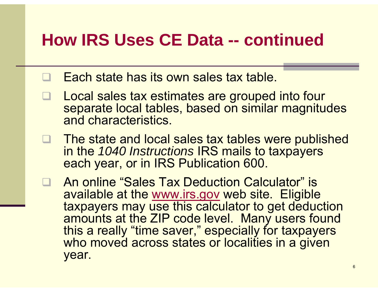### **How IRS Uses CE Data Data -- continued**

- $\Box$ Each state has its own sales tax table.
- $\Box$  Local sales tax estimates are grouped into four separate local tables, based on similar magnitudes and characteristics.
- $\Box$ □ The state and local sales tax tables were published in the *1040 Instructions* IRS mails to taxpayers each year, or in IRS Publication 600.
- □ An online "Sales Tax Deduction Calculator" is available at the www.irs.gov web site. Eligible taxpayers may use this calculator to get deduction amounts at the ZIP code level. Many users found this a really "time saver," especially for taxpayers who moved across states or localities in a given year.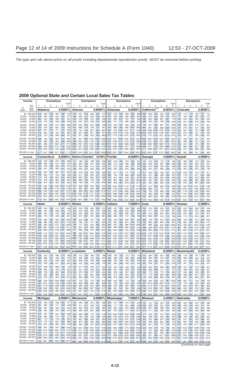#### **2009 Optional State and Certain Local Sales Tax Tables**

|                                                                                                                  | Income                                                                                                                                                               | <b>Exemptions</b>                                                               |                                                                                                                                                                         |                                                                          |                                                                                        |                                                                     | <b>Exemptions</b>                                                           |                                                                                  |                                                                           |                                                                           |                                                                           |                                                                                                                                                                                                                                                                                                                                                                                                       | <b>Exemptions</b>                                                   |                                                                                             |                                                                                          |                                                         |                                                                  |                                                                                                                                                               | Exemptions<br>Over                                                            |                                                                                  |                                                                                  |                                                                                  |                                                                                                                                                                                                    |                                                                                  |                                                                                                                                                        | <b>Exemptions</b>                                                                               |                                                             |                                                             |                                                             |                                                                                                                                                         |                                                               |
|------------------------------------------------------------------------------------------------------------------|----------------------------------------------------------------------------------------------------------------------------------------------------------------------|---------------------------------------------------------------------------------|-------------------------------------------------------------------------------------------------------------------------------------------------------------------------|--------------------------------------------------------------------------|----------------------------------------------------------------------------------------|---------------------------------------------------------------------|-----------------------------------------------------------------------------|----------------------------------------------------------------------------------|---------------------------------------------------------------------------|---------------------------------------------------------------------------|---------------------------------------------------------------------------|-------------------------------------------------------------------------------------------------------------------------------------------------------------------------------------------------------------------------------------------------------------------------------------------------------------------------------------------------------------------------------------------------------|---------------------------------------------------------------------|---------------------------------------------------------------------------------------------|------------------------------------------------------------------------------------------|---------------------------------------------------------|------------------------------------------------------------------|---------------------------------------------------------------------------------------------------------------------------------------------------------------|-------------------------------------------------------------------------------|----------------------------------------------------------------------------------|----------------------------------------------------------------------------------|----------------------------------------------------------------------------------|----------------------------------------------------------------------------------------------------------------------------------------------------------------------------------------------------|----------------------------------------------------------------------------------|--------------------------------------------------------------------------------------------------------------------------------------------------------|-------------------------------------------------------------------------------------------------|-------------------------------------------------------------|-------------------------------------------------------------|-------------------------------------------------------------|---------------------------------------------------------------------------------------------------------------------------------------------------------|---------------------------------------------------------------|
|                                                                                                                  | But                                                                                                                                                                  | $\mathbf{2}$<br>3<br>1.                                                         |                                                                                                                                                                         |                                                                          | 4                                                                                      | 5                                                                   | Over<br>5                                                                   | $\overline{2}$<br>3<br>4<br>5<br>5<br>$\mathbf{1}$                               |                                                                           |                                                                           |                                                                           |                                                                                                                                                                                                                                                                                                                                                                                                       | Over                                                                | Over<br>$\overline{2}$<br>$\mathbf{1}$<br>3<br>4<br>- 5<br>5                                |                                                                                          |                                                         |                                                                  |                                                                                                                                                               | $\mathbf{1}$                                                                  | 2                                                                                | 3                                                                                | $\overline{4}$                                                                   | 5 <sup>5</sup>                                                                                                                                                                                     | 5 <sup>5</sup>                                                                   | $\mathbf{1}$<br>$\overline{2}$<br>3                                                                                                                    |                                                                                                 |                                                             | 4                                                           | 5                                                           | Over<br>5                                                                                                                                               |                                                               |
| At<br>least                                                                                                      | less<br>than                                                                                                                                                         |                                                                                 | Alabama                                                                                                                                                                 |                                                                          |                                                                                        |                                                                     | 4.0000%                                                                     |                                                                                  | Arizona                                                                   |                                                                           | 5.6000%                                                                   |                                                                                                                                                                                                                                                                                                                                                                                                       |                                                                     |                                                                                             | <b>Arkansas</b>                                                                          |                                                         |                                                                  | 6.0000%                                                                                                                                                       |                                                                               |                                                                                  | California <sup>1,2</sup>                                                        |                                                                                  | 8.0034%                                                                                                                                                                                            |                                                                                  |                                                                                                                                                        | Colorado                                                                                        |                                                             |                                                             |                                                             | 2.9000%                                                                                                                                                 |                                                               |
| \$0<br>20,000<br>30,000<br>40,000<br>50,000<br>60,000<br>70,000<br>80,000<br>90,000                              | \$20,000<br>30,000<br>40,000<br>50,000<br>60,000<br>70,000<br>80,000<br>90,000<br>100,000                                                                            | 203<br>310<br>365<br>413<br>458<br>500<br>540<br>578<br>615                     | 239<br>362<br>425<br>479<br>530<br>576<br>621<br>663<br>704                                                                                                             | 264<br>397<br>465<br>524<br>578<br>627<br>675<br>720<br>763              | 282<br>424<br>496<br>558<br>615<br>667<br>717<br>764<br>809                            | 298<br>446<br>521<br>586<br>645<br>700<br>752<br>801<br>848         | 319<br>477<br>557<br>626<br>688<br>746<br>800<br>852<br>901                 | 219<br>364<br>443<br>514<br>579<br>641<br>702<br>759<br>815                      | 237<br>393<br>478<br>553<br>623<br>688<br>752<br>812<br>871               | 249<br>412<br>499<br>577<br>650<br>718<br>783<br>846<br>906               | 258<br>425<br>516<br>596<br>670<br>739<br>807<br>871<br>932               | 265<br>436<br>529<br>610<br>686<br>757<br>825<br>890<br>953                                                                                                                                                                                                                                                                                                                                           | 274<br>451<br>546<br>630<br>708<br>781<br>851<br>917<br>982         | 287<br>475<br>574<br>662<br>742<br>816<br>887                                               | 319<br>526<br>635<br>731<br>818<br>899<br>954 1049 1110 1156<br>1017 1118 1183 1231 1270 | 340<br>559<br>674<br>775<br>867<br>952                  | 356<br>584<br>704<br>809<br>904<br>992                           | 368<br>604<br>727<br>835<br>934<br>1025<br>976 1034 1077 1111 1159<br>1193 1243                                                                               | 386<br>631<br>760<br>872<br>975<br>1069<br>1324                               | 285<br>482<br>589<br>686<br>776<br>862                                           | 309<br>519<br>633<br>736<br>831<br>921<br>945 1009<br>1025 1092 1135 1166        | 323<br>542<br>660<br>767<br>865<br>958<br>1049                                   | 334<br>559<br>681<br>790<br>891<br>986<br>1078<br>1102 1174 1218 1251 1278 1314                                                                                                                    | 343<br>573<br>697<br>808<br>911<br>1008                                          | 355<br>591<br>719<br>833<br>939<br>1038<br>1102 1134<br>1191 1226                                                                                      | 105<br>171<br>206<br>239<br>269<br>297<br>324<br>351<br>376                                     | 114<br>184<br>223<br>257<br>288<br>318<br>347<br>375<br>401 | 119<br>193<br>233<br>268<br>301<br>331<br>361<br>390<br>417 | 123<br>200<br>240<br>276<br>310<br>341<br>372<br>401<br>429 | 127<br>205<br>246<br>283<br>317<br>349<br>380<br>410<br>438                                                                                             | 131<br>212<br>254<br>292<br>327<br>360<br>392<br>422<br>451   |
| 100,000<br>120,000<br>140,000 160,000<br>160,000 180,000<br>180,000 200,000<br>200,000 or more                   | 120,000<br>140,000                                                                                                                                                   | 666<br>737<br>801<br>868                                                        | 759<br>836<br>906<br>978<br>930 1045<br>1271 1407 1499 1571 1630 1713                                                                                                   | 822<br>903                                                               | 870<br>955<br>977 1032 1077 1141<br>1053 1110 1158 1225<br>1122 1183 1232 1302         | 910                                                                 | 967<br>998 1059                                                             | 891                                                                              | 951                                                                       | 988                                                                       |                                                                           | 1016 1039 1069<br>999 1064 1105 1135 1159 1192 1222 1339 1415 1472 1518 1580<br>1098 1167 1210 1242 1268 1303 1327 1454 1535 1596 1645 1712<br>1200 1273 1319 1353 1380 1418 1434 1569 1656 1721 1774 1846<br>1295 1372 1420 1456 1485 1524 1532 1675 1767 1835 1891 1967<br>1816 1910 1970 2014 2050 2099 2039 2221 2337 2424 2495 2591                                                              |                                                                     |                                                                                             |                                                                                          |                                                         |                                                                  | 1103 1211 1280 1332 1374 1431                                                                                                                                 |                                                                               |                                                                                  |                                                                                  |                                                                                  | 1208 1284 1332 1367 1395 1434<br>1358 1441 1493 1531 1562 1604<br>1496 1584 1639 1680 1713 1758<br>1638 1731 1790 1834 1869 1916<br>1771 1869 1931 1977 2014 2064<br>2504 2624 2701 2757 2803 2865 |                                                                                  |                                                                                                                                                        | 411<br>461<br>506<br>554<br>598<br>842                                                          | 438<br>490<br>537<br>586<br>631<br>882                      | 454<br>508<br>556<br>606<br>653<br>908                      | 467<br>521<br>570<br>621<br>668<br>927                      | 477<br>532<br>582<br>633<br>681<br>943                                                                                                                  | 491<br>547<br>597<br>650<br>698<br>963                        |
|                                                                                                                  | Income                                                                                                                                                               |                                                                                 | Connecticut                                                                                                                                                             |                                                                          | 6.0000%                                                                                |                                                                     |                                                                             |                                                                                  | <b>District of Columbia</b>                                               |                                                                           |                                                                           | 5,8130%                                                                                                                                                                                                                                                                                                                                                                                               |                                                                     |                                                                                             | Florida                                                                                  |                                                         |                                                                  | $6.0000\%$                                                                                                                                                    |                                                                               |                                                                                  | Georgia                                                                          |                                                                                  |                                                                                                                                                                                                    | 4.0000%                                                                          |                                                                                                                                                        | Hawaii                                                                                          |                                                             |                                                             |                                                             |                                                                                                                                                         | 4.0000%                                                       |
| 20,000<br>30,000<br>40,000<br>50,000<br>60,000<br>70,000<br>80,000<br>90,000<br>100,000<br>120,000               | \$0 \$20,000<br>30,000<br>40,000<br>50,000<br>60,000<br>70,000<br>80,000<br>90,000<br>100,000<br>120,000<br>140,000<br>140,000 160,000 1096 1156 1193 1220 1241 1270 | 216<br>369<br>452<br>526<br>593<br>656<br>717<br>774<br>829<br>902<br>1005 1060 | 229<br>392<br>479<br>557<br>628<br>694<br>758<br>818<br>875<br>952                                                                                                      | 238<br>406<br>496<br>576<br>649<br>717<br>783<br>845<br>904<br>1094 1119 | 244<br>416<br>508<br>590<br>665<br>735<br>802<br>865<br>925<br>983 1006 1024           | 249<br>424<br>518<br>601<br>677<br>748<br>816<br>880<br>942<br>1139 | 256<br>435<br>531<br>616<br>694<br>766<br>836<br>901<br>964<br>1048<br>1166 | 177<br>303<br>373<br>436<br>495<br>550<br>604<br>656<br>706<br>774<br>871<br>959 | 188<br>320<br>393<br>458<br>519<br>577<br>633<br>686<br>738<br>808<br>908 | 194<br>330<br>405<br>472<br>534<br>593<br>651<br>705<br>758<br>830<br>931 | 199<br>337<br>414<br>482<br>546<br>605<br>664<br>719<br>773<br>845<br>948 | 203<br>343<br>421<br>490<br>554<br>615<br>674<br>730<br>784<br>858<br>962<br>999 1023 1042 1056 1075 1191 1273 1325 1363 1394 1437                                                                                                                                                                                                                                                                    | -208<br>352<br>430<br>501<br>566<br>628<br>688<br>745<br>800<br>874 | 228<br>385<br>471<br>549<br>621<br>689<br>755<br>819<br>880<br>980 1083 1159 1207 1244 1273 | 249<br>419<br>512<br>594<br>671<br>744<br>814<br>881<br>946<br>964 1034 1078 1112        | 263<br>440<br>537<br>623<br>703<br>778<br>851<br>920    | 272<br>456<br>556<br>644<br>727<br>804<br>878<br>950<br>987 1018 | 280<br>469<br>571<br>662<br>746<br>824<br>901<br>973<br>1043<br>1138                                                                                          | 291<br>486<br>591<br>685<br>771<br>852<br>931<br>1005<br>1077<br>1175<br>1312 | 147<br>240<br>290<br>335<br>377<br>416<br>454<br>491<br>527<br>575<br>645<br>708 | 160<br>260<br>313<br>361<br>405<br>447<br>487<br>525<br>563<br>614<br>686<br>752 | 169<br>272<br>328<br>377<br>423<br>466<br>507<br>547<br>586<br>638<br>712<br>779 | 175<br>281<br>339<br>389<br>436<br>480<br>523<br>563<br>602<br>656<br>731<br>800                                                                                                                   | 179<br>289<br>347<br>399<br>447<br>492<br>535<br>576<br>616<br>670<br>747<br>816 | 186<br>299<br>359<br>412<br>461<br>507<br>552<br>594<br>635<br>690<br>768<br>839                                                                       | 245<br>388<br>462<br>526<br>583<br>637<br>687<br>735<br>780<br>840                              | 280<br>440<br>523<br>594<br>658<br>718<br>774<br>826<br>876 | 302<br>474<br>562<br>639<br>707<br>771<br>830<br>886<br>939 | 319<br>500<br>593<br>673<br>745<br>811<br>873<br>932<br>987 | 333<br>521<br>618<br>700<br>775<br>844<br>908<br>969<br>1026<br>943 1010 1061 1102 1160<br>923 1035 1107 1162 1208 1270<br>997 1116 1193 1252 1300 1367 | 353<br>551<br>652<br>739<br>817<br>889<br>957<br>1020<br>1080 |
|                                                                                                                  | 160,000 180,000 1189 1254 1293 1322 1345 1376<br>180,000 200,000 1274 1343 1385 1416 1440 1473                                                                       |                                                                                 |                                                                                                                                                                         |                                                                          |                                                                                        |                                                                     |                                                                             |                                                                                  |                                                                           |                                                                           |                                                                           | 1049 1092 1118 1137 1153 1174 1303 1390 1445 1486 1519<br>1133 1178 1206 1227 1243 1265 1408 1499 1557 1601 1636 1683                                                                                                                                                                                                                                                                                 |                                                                     |                                                                                             |                                                                                          |                                                         |                                                                  |                                                                                                                                                               | 1565                                                                          | 774<br>835                                                                       | 820<br>883                                                                       | 849<br>914                                                                       | 870<br>936                                                                                                                                                                                         | 888<br>955                                                                       | 912                                                                                                                                                    | 1071 1197 1280 1342 1393 1464<br>979 1139 1272 1358 1424 1478 1552                              |                                                             |                                                             |                                                             |                                                                                                                                                         |                                                               |
| 200,000 or more                                                                                                  |                                                                                                                                                                      |                                                                                 |                                                                                                                                                                         |                                                                          | 1718 1807 1862 1902 1933 1976<br>$6.0000\%$                                            |                                                                     |                                                                             |                                                                                  | 1590 1647 1681 1707 1727 1754<br><b>Illinois</b>                          |                                                                           |                                                                           |                                                                                                                                                                                                                                                                                                                                                                                                       | 6.2500%                                                             |                                                                                             |                                                                                          |                                                         | 1982 2096 2168 2222 2265 2325<br>7.0000%                         |                                                                                                                                                               | 1174 1232 1269 1296 1318 1349                                                 |                                                                                  |                                                                                  |                                                                                  |                                                                                                                                                                                                    |                                                                                  | Kansas                                                                                                                                                 |                                                                                                 | 1487 1652 1759 1841 1907 1999                               |                                                             | 5.3000%                                                     |                                                                                                                                                         |                                                               |
|                                                                                                                  | <b>Income</b><br>\$0 \$20,000                                                                                                                                        | Idaho<br>300                                                                    | 353                                                                                                                                                                     | 388                                                                      | 415                                                                                    | 437                                                                 | 469                                                                         | 233                                                                              | 259                                                                       | 276                                                                       | 289                                                                       | 299                                                                                                                                                                                                                                                                                                                                                                                                   | 314                                                                 | 280                                                                                         | Indiana<br>307                                                                           | 325                                                     | 338                                                              | 348                                                                                                                                                           | 363                                                                           | lowa<br>255                                                                      | 279                                                                              | 294                                                                              | 305                                                                                                                                                                                                | $6.0000\%$<br>313                                                                | 326                                                                                                                                                    | 285                                                                                             | 332                                                         | 364                                                         | 389                                                         | 410                                                                                                                                                     | 438                                                           |
| 20,000<br>30,000<br>40,000<br>50,000<br>60,000<br>70,000<br>80,000                                               | 30,000<br>40,000<br>50,000<br>60,000<br>70,000<br>80,000<br>90,000                                                                                                   | 466<br>553<br>630<br>700<br>766<br>830                                          | 544<br>643<br>730<br>809<br>883<br>890 1021                                                                                                                             | 596<br>703<br>797<br>882                                                 | 636<br>750<br>849<br>939<br>961 1022<br>954 1037 1101 1155 1229<br>1109 1176 1232 1311 | 670<br>788<br>892                                                   | 716<br>842<br>951<br>985 1050<br>1072 1142                                  | 376<br>453<br>522<br>586<br>647<br>706<br>763                                    | 416<br>500<br>574<br>643<br>708<br>771<br>831                             | 442<br>530<br>607<br>680<br>747<br>813<br>875                             | 461<br>552<br>633<br>707<br>777<br>844<br>908                             | 477<br>570<br>653<br>729<br>801<br>869<br>935                                                                                                                                                                                                                                                                                                                                                         | 498<br>595<br>681<br>760<br>833<br>904<br>972                       | 454<br>547<br>628<br>703<br>773<br>840<br>904                                               | 496<br>597<br>685<br>765<br>840<br>912                                                   | 523<br>628<br>720<br>805<br>883<br>958<br>980 1028 1064 | 544<br>652<br>747<br>834<br>914<br>992                           | 560<br>671<br>768<br>857<br>940<br>1019<br>1093                                                                                                               | 582<br>697<br>798<br>890<br>975<br>1056<br>1133                               | 433<br>528<br>612<br>690<br>762<br>831<br>896                                    | 471<br>574<br>665<br>748<br>825<br>899<br>969                                    | 495<br>603<br>697<br>784<br>865<br>943                                           | 513<br>624<br>722<br>812<br>895<br>975<br>1015 1050 1077 1115                                                                                                                                      | 527<br>641<br>742<br>834<br>919                                                  | 547<br>665<br>768<br>863<br>951<br>1001 1036                                                                                                           | 453<br>540<br>616<br>685<br>749<br>810<br>867                                                   | 525<br>625<br>712<br>790<br>862                             | 574<br>682<br>775<br>860<br>937                             | 612<br>726<br>824<br>913                                    | 643<br>762<br>865<br>958 1020<br>995 1043 1110<br>930 1011 1073 1124 1195<br>994 1079 1145 1199 1275                                                    | 686<br>812<br>921                                             |
| 90,000<br>100,000<br>120,000 140,000<br>140,000 160,000<br>160,000 180,000<br>180,000 200,000<br>200,000 or more | 100,000<br>120,000                                                                                                                                                   |                                                                                 | 949 1086<br>1028 1173<br>1140 1296 1400 1481 1548 1641<br>1242 1406 1517 1603 1673 1772<br>1346 1520 1637 1727 1802 1906<br>1444 1626 1748 1842 1920 2030               |                                                                          | 1178 1248 1307 1389<br>1270 1345 1407 1494                                             |                                                                     |                                                                             | 817<br>892                                                                       | 889<br>968<br>999 1080 1133 1173                                          | 935                                                                       | 970                                                                       | 998 1037<br>1017 1054 1084 1125<br>1205 1249 1161 1254 1313 1357 1393 1441<br>1096 1183 1238 1280 1314 1361<br>1197 1288 1347 1391 1427 1477 1368 1475 1542 1592 1632 1687<br>1292 1387 1449 1495 1533 1584 1465 1577 1647 1700 1743 1801                                                                                                                                                             |                                                                     | 965                                                                                         | 1045<br>1046 1132 1187 1227 1260                                                         | 1096 1134                                               |                                                                  | 1164<br>1264 1364 1427 1474 1512 1563                                                                                                                         | 1206<br>1304                                                                  |                                                                                  | 959 1036                                                                         |                                                                                  | 1085 1122 1151 1191<br>1042 1126 1179 1218 1249 1292<br>1159 1251 1309 1352 1386 1433<br>1264 1363 1425 1471 1508 1559                                                                             |                                                                                  | 1370 1475 1542 1592 1632 1686 1274 1449 1566 1656 1731 1834<br>1467 1579 1650 1702 1745 1802 1357 1541 1664 1758 1837 1946                             | 1095 1249 1353 1432 1498 1590<br>1184 1349 1459 1544 1614 1712<br>1781 2010 2163 2280 2377 2513 |                                                             | 994 1137 1232 1306 1366                                     |                                                             | 921 1056 1145 1214 1271 1351                                                                                                                            | 1451                                                          |
|                                                                                                                  | <b>Income</b>                                                                                                                                                        |                                                                                 | Kentucky                                                                                                                                                                |                                                                          | 1977 2196 2343 2457 2552 2684<br>6.0000%                                               |                                                                     |                                                                             |                                                                                  | Louisiana                                                                 |                                                                           | 1816 1930 2003 2059 2105 2167<br>4.0000%                                  |                                                                                                                                                                                                                                                                                                                                                                                                       |                                                                     | <b>Maine</b>                                                                                |                                                                                          | 1972 2112 2201 2268 2321 2394                           |                                                                  | 5.0000%                                                                                                                                                       |                                                                               | 1971 2116 2207 2275 2329 2403<br>Maryland                                        |                                                                                  |                                                                                  |                                                                                                                                                                                                    |                                                                                  | $6.0000\%$                                                                                                                                             |                                                                                                 |                                                             | <b>Massachusetts</b>                                        |                                                             | 5.5240%                                                                                                                                                 |                                                               |
| \$0<br>20,000<br>30,000<br>40,000                                                                                | \$20,000<br>30,000<br>40,000<br>50,000                                                                                                                               | 220<br>363<br>442<br>512                                                        | 242<br>399<br>483<br>559                                                                                                                                                | 257<br>421<br>510<br>588                                                 | 268<br>438<br>529<br>611                                                               | 276<br>451<br>545<br>629                                            | 288<br>470<br>567<br>653                                                    | 159<br>271<br>333<br>388                                                         | 172<br>292<br>358<br>416                                                  | 180<br>306<br>374<br>435                                                  | 186<br>316<br>386<br>448                                                  | 191<br>324<br>395<br>459                                                                                                                                                                                                                                                                                                                                                                              | 198<br>334<br>408<br>473                                            | 149<br>252<br>309<br>361                                                                    | 159<br>268<br>328<br>382                                                                 | 166<br>278<br>340<br>396                                | 170<br>285<br>348<br>405                                         | 174<br>291<br>355<br>413                                                                                                                                      | 179<br>299<br>365<br>423                                                      | 215<br>349<br>421<br>487                                                         | 236<br>382<br>460<br>529                                                         | 250<br>402<br>484<br>557                                                         | 261<br>418<br>502<br>577                                                                                                                                                                           | 269<br>431<br>517<br>594                                                         | 280<br>448<br>537<br>616                                                                                                                               | 166<br>269<br>326<br>378                                                                        | 178<br>288<br>347<br>401                                    | 186<br>299<br>361<br>416                                    | 191<br>308<br>370<br>426                                    | 196<br>315<br>378<br>435                                                                                                                                | 202<br>324<br>389<br>447                                      |
| 50,000<br>60,000<br>70,000<br>80,000                                                                             | 60,000<br>70,000<br>80,000<br>90,000<br>90,000 100,000                                                                                                               | 577<br>639<br>699<br>757<br>813                                                 | 629<br>695<br>759<br>820<br>879                                                                                                                                         | 661<br>730<br>796<br>860<br>921                                          | 686<br>756<br>825<br>890<br>953                                                        | 706<br>778<br>848<br>914                                            | 733<br>807<br>879<br>947<br>978 1013                                        | 439<br>487<br>533<br>577<br>620                                                  | 471<br>521<br>570<br>617<br>662                                           | 491<br>543<br>594<br>642<br>689                                           | 506<br>559<br>611<br>661<br>708                                           | 517<br>572<br>625<br>676<br>724                                                                                                                                                                                                                                                                                                                                                                       | 534<br>590<br>644<br>696<br>745                                     | 410<br>456<br>502<br>545<br>588                                                             | 433<br>481<br>528<br>574<br>618                                                          | 448<br>497<br>545<br>591<br>636                         | 458<br>508<br>557<br>604<br>650                                  | 467<br>518<br>567<br>615<br>661                                                                                                                               | 478<br>530<br>580<br>629<br>675                                               | 548<br>606<br>662<br>717<br>770                                                  | 594<br>656<br>715<br>773<br>828                                                  | 624<br>688<br>749<br>808<br>866                                                  | 646<br>711<br>775<br>835<br>894                                                                                                                                                                    | 664<br>731<br>795<br>857<br>916                                                  | 689<br>757<br>823<br>886<br>947                                                                                                                        | 426<br>472<br>517<br>560<br>602                                                                 | 451<br>498<br>545<br>589<br>632                             | 467<br>515<br>562<br>607<br>651                             | 479<br>528<br>576<br>621<br>666                             | 488<br>538<br>586<br>632<br>677                                                                                                                         | 501<br>551<br>601<br>647<br>693                               |
| 100,000 120,000<br>120,000 140,000<br>140,000 160,000<br>160,000 180,000<br>180,000 200,000<br>200,000 or more   |                                                                                                                                                                      | 889                                                                             | 959<br>997 1074 1122 1159 1188 1229<br>1097 1178 1229 1268 1300 1343<br>1199 1285 1340 1381 1415 1460<br>1295 1385 1443 1486 1521 1569<br>1824 1935 2005 2059 2102 2161 |                                                                          | 1004 1038 1065 1102                                                                    |                                                                     |                                                                             | 677<br>759<br>832<br>907                                                         | 723<br>808<br>885                                                         | 751<br>839<br>919                                                         | 772<br>862<br>944                                                         | 789<br>881<br>963<br>964 1000 1027 1048 1077<br>977 1037 1075 1103 1126 1156<br>1351 1427 1475 1511 1539 1578                                                                                                                                                                                                                                                                                         | 812<br>906<br>990                                                   | 646<br>730<br>806<br>886                                                                    | 678<br>763<br>842<br>924<br>961 1000 1025 1043 1058                                      | 697<br>785<br>864<br>947                                | 712<br>800<br>881<br>965                                         | 723<br>813<br>894<br>979<br>1378 1425 1454 1476 1494 1518                                                                                                     | 739<br>830<br>912<br>998                                                      | 843                                                                              | 904<br>947 1013                                                                  | 943<br>1055                                                                      | 973<br>1087 1112 1147<br>1043 1112 1157 1190 1217 1254<br>1143 1216 1262 1297 1326 1365<br>1078 1238 1313 1361 1398 1428 1468<br>1769 1856 1912 1955 1990 2038                                     |                                                                                  | 997 1030                                                                                                                                               | 659<br>742<br>817<br>896                                                                        | 691<br>775<br>852<br>932                                    | 711<br>796<br>874<br>955                                    | 726<br>812<br>891<br>973                                    | 738<br>825<br>904<br>971 1008 1031 1049 1063 1083<br>1384 1425 1451 1471 1487 1509                                                                      | 755<br>843<br>923<br>987 1006                                 |
|                                                                                                                  | <b>Income</b>                                                                                                                                                        |                                                                                 | <b>Michigan</b>                                                                                                                                                         |                                                                          |                                                                                        |                                                                     | $6.0000\%$                                                                  |                                                                                  | Minnesota                                                                 |                                                                           |                                                                           | 6.6890%                                                                                                                                                                                                                                                                                                                                                                                               |                                                                     |                                                                                             | <b>Mississippi</b>                                                                       |                                                         |                                                                  | 7.0000%                                                                                                                                                       |                                                                               |                                                                                  | <b>Missouri</b>                                                                  |                                                                                  |                                                                                                                                                                                                    |                                                                                  | 4.2250%                                                                                                                                                |                                                                                                 | Nebraska                                                    |                                                             |                                                             | 5.5000%                                                                                                                                                 |                                                               |
| 20,000<br>30,000<br>40,000<br>50,000<br>60,000<br>70,000<br>80,000                                               | \$0 \$20,000<br>30,000<br>40,000<br>50,000<br>60,000<br>70,000<br>80,000<br>90,000<br>90,000 100,000                                                                 | 215<br>351<br>424<br>490<br>552<br>610<br>667<br>721<br>774                     | 236<br>382<br>461<br>532<br>597<br>659<br>719<br>776<br>831                                                                                                             | 249<br>402<br>485<br>558<br>626<br>690<br>752<br>811<br>868              | 258<br>417<br>502<br>578<br>647<br>713<br>776<br>837<br>895                            | 266<br>429<br>516<br>593<br>665<br>732<br>796<br>858<br>918         | 277<br>446<br>535<br>615<br>688<br>757<br>823<br>886<br>948                 | 224<br>387<br>476<br>555<br>628<br>696<br>762<br>825<br>885                      | 239<br>411<br>505<br>589<br>666<br>738<br>807<br>873<br>936               | 248<br>427<br>524<br>610<br>689<br>764<br>835<br>903<br>968               | 255<br>438<br>537<br>625<br>707<br>783<br>856<br>925                      | 261<br>447<br>548<br>638<br>720<br>798<br>872<br>942<br>991 1010 1035 1284 1451 1561 1644 1713 1808                                                                                                                                                                                                                                                                                                   | 268<br>459<br>562<br>654<br>739<br>818<br>966                       | 393<br>628<br>750<br>857                                                                    | 451<br>717<br>855<br>954 1083 1168 1233 1286                                             | 489<br>776<br>924                                       | 519<br>821                                                       | 543<br>858<br>976 1020 1079<br>975 1052 1111 1160 1227<br>1043 1183 1274 1345 1402 1482<br>894 1128 1278 1376 1451 1512 1598<br>1208 1366 1470 1550 1615 1705 | 576<br>909<br>1360                                                            | 161<br>265<br>320<br>370<br>417<br>461<br>503<br>544<br>584                      | 181<br>296<br>357<br>411<br>462<br>509<br>555<br>599<br>641                      | 194<br>316<br>380<br>438<br>491<br>541<br>589<br>634<br>679                      | 204<br>331<br>398<br>458<br>513<br>564<br>614<br>661<br>707                                                                                                                                        | 212<br>343<br>413<br>474<br>531<br>584<br>635<br>683<br>730                      | 223<br>360<br>432<br>496<br>555<br>610<br>663<br>713<br>762                                                                                            | 233<br>395<br>483<br>560<br>632<br>698<br>761<br>821<br>879                                     | 252<br>426<br>520<br>603<br>679<br>750<br>817<br>881<br>942 | 263<br>446<br>543<br>629<br>708<br>782<br>852<br>918        | 272<br>460<br>560<br>649<br>730<br>806<br>878<br>946        | 279<br>471<br>574<br>665<br>748<br>825<br>899<br>968<br>982 1011 1035 1067                                                                              | 289<br>487<br>593<br>686<br>772<br>851<br>927<br>998          |
| 120,000 140,000<br>180,000 200,000<br>200,000 or more                                                            | 100,000 120,000<br>140,000 160,000<br>160,000 180,000                                                                                                                | 846                                                                             | 907<br>948 1014 1056 1087 1113 1147<br>1042 1112 1156 1190 1217 1253<br>1139 1213 1260 1295 1324 1362<br>1230 1308 1357 1394 1424 1464                                  | 946                                                                      | 975                                                                                    |                                                                     | 998 1030<br>1734 1827 1887 1932 1968 2017                                   |                                                                                  | 966 1021 1056                                                             |                                                                           |                                                                           | 1081 1101 1128<br>1080 1141 1179 1206 1228 1258 1526 1719 1846 1943 2022 2132<br>1182 1248 1289 1319 1342 1374 1651 1857 1993 2096 2181 2298<br>1286 1357 1401 1433 1458 1493 1777 1996 2140 2250 2340 2465<br>1382 1457 1504 1538 1565 1602 1892 2123 2274 2390 2485 2616<br>1887 1985 2046 2090 2126 2173 2483 2772 2961 3105 3223 3387 1296 1393 1455 1503 1542 1595 1812 1931 2005 2060 2104 2163 |                                                                     |                                                                                             |                                                                                          |                                                         |                                                                  | 1385 1563 1680 1770 1843 1944                                                                                                                                 |                                                                               | 638<br>714<br>784<br>856                                                         | 699<br>781<br>855<br>931<br>924 1003                                             | 739<br>824<br>901                                                                | 769<br>856<br>935                                                                                                                                                                                  | 793<br>883                                                                       | 827<br>964 1002 1160 1241 1291 1329 1359 1399<br>980 1017 1047 1088 1257 1344 1398 1438 1471 1514<br>1054 1092 1124 1167 1347 1439 1496 1539 1573 1619 | 956<br>919 1064 1139 1186 1220 1248 1286                                                        |                                                             |                                                             |                                                             | 1024 1067 1099 1124 1158                                                                                                                                |                                                               |

*(Continued on next page)*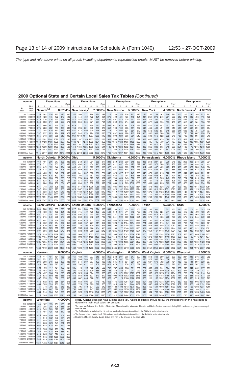#### **2009 Optional State and Certain Local Sales Tax Tables** *(Continued)*

|                                                                          | Income                                     | <b>Exemptions</b>                   |                               |                          |                                                                   |                          |                          | <b>Exemptions</b>                                                           |                          |                                                                |                          |                               |                          | <b>Exemptions</b>                                                                                                         |                                                                                                |                          |                          |                                                    |                                      | <b>Exemptions</b>                                                                                                    |                                                                                                 |                          |                                   |                                |                          |                                                                                                                                                                   | <b>Exemptions</b>        |                                                                        |                          |                                                              |                          |  |
|--------------------------------------------------------------------------|--------------------------------------------|-------------------------------------|-------------------------------|--------------------------|-------------------------------------------------------------------|--------------------------|--------------------------|-----------------------------------------------------------------------------|--------------------------|----------------------------------------------------------------|--------------------------|-------------------------------|--------------------------|---------------------------------------------------------------------------------------------------------------------------|------------------------------------------------------------------------------------------------|--------------------------|--------------------------|----------------------------------------------------|--------------------------------------|----------------------------------------------------------------------------------------------------------------------|-------------------------------------------------------------------------------------------------|--------------------------|-----------------------------------|--------------------------------|--------------------------|-------------------------------------------------------------------------------------------------------------------------------------------------------------------|--------------------------|------------------------------------------------------------------------|--------------------------|--------------------------------------------------------------|--------------------------|--|
| At                                                                       | But<br>less                                | 1.                                  | 2                             | 3                        | 4                                                                 | 5                        | Over<br>5                | 1                                                                           | $2^{\circ}$              | 3                                                              | $\overline{4}$           | 5                             | Over<br>5                | $\mathbf{1}$                                                                                                              | $\overline{2}$                                                                                 | 3                        | 4                        | 5                                                  | Over<br>5                            | $\mathbf{1}$                                                                                                         | $\mathbf{2}$                                                                                    | 3                        | 4                                 | 5                              | Over<br>5                | 1                                                                                                                                                                 | 2                        | 3                                                                      | 4                        | 5                                                            | Over<br>5                |  |
| least                                                                    | than                                       |                                     | Nevada $1, \overline{3}$      |                          |                                                                   | 6.6764%                  |                          |                                                                             |                          | New Jersey <sup>4</sup>                                        |                          | 7.0000%                       |                          |                                                                                                                           | <b>New Mexico</b>                                                                              |                          |                          | 5.0000%                                            |                                      |                                                                                                                      | <b>New York</b>                                                                                 |                          |                                   | 4.0000%                        |                          |                                                                                                                                                                   |                          | <b>North Carolina</b>                                                  |                          | 4.8973%                                                      |                          |  |
| \$0<br>20,000<br>30,000<br>40,000                                        | \$20,000<br>30,000<br>40,000<br>50,000     | 239<br>389<br>470<br>543            | 262<br>423<br>510<br>588      | 276<br>445<br>536<br>617 | 287<br>462<br>555<br>638                                          | 296<br>475<br>571<br>656 | 307<br>493<br>592<br>679 | 244<br>418<br>514<br>600                                                    | 260<br>444<br>544<br>634 | 271<br>460<br>563<br>656                                       | 278<br>472<br>577<br>671 | 284<br>481<br>588<br>684      | 292<br>494<br>603<br>701 | 218<br>372<br>455<br>528                                                                                                  | 236<br>402<br>491<br>569                                                                       | 248<br>421<br>513<br>595 | 256<br>435<br>530<br>614 | 263<br>446<br>543<br>629                           | 273<br>46 <sup>°</sup><br>561<br>650 | 145<br>247<br>303<br>353                                                                                             | 154<br>261<br>320<br>372                                                                        | 159<br>270<br>330<br>384 | 163<br>276<br>338<br>393          | 166<br>281<br>344<br>399       | 171<br>288<br>352<br>409 | 206<br>340<br>412<br>476                                                                                                                                          | 225<br>371<br>448<br>516 | 237<br>390<br>471<br>542                                               | 246<br>404<br>487<br>561 | 253<br>415<br>501<br>576                                     | 263<br>430<br>519<br>597 |  |
| 50,000<br>60,000<br>70,000                                               | 60,000<br>70,000<br>80,000                 | 611<br>675<br>737                   | 660<br>728<br>794             | 692<br>762<br>830        | 715<br>787<br>857                                                 | 734<br>808<br>879        | 760<br>836<br>909        | 679<br>754<br>827                                                           | 717<br>796<br>872        | 741<br>821<br>899                                              | 759<br>840<br>919        | 773<br>856<br>936             | 791<br>876<br>958        | 595<br>658<br>718                                                                                                         | 641<br>708<br>772                                                                              | 670<br>739<br>806        | 691<br>763<br>831        | 708<br>781<br>851                                  | $73 -$<br>807<br>879                 | 399<br>443<br>486                                                                                                    | 421<br>466<br>510                                                                               | 434<br>480<br>526        | 443<br>491<br>537                 | 451<br>499<br>546              | 461<br>510<br>558        | 534<br>589<br>641                                                                                                                                                 | 579<br>637<br>693        | 607<br>668<br>726                                                      | 628<br>691<br>751        | 645<br>709<br>770                                            | 668<br>734<br>797        |  |
| 80,000<br>90,000                                                         | 90,000<br>100,000                          | 797<br>855                          | 857<br>918                    | 895<br>958               | 924<br>988                                                        | 947<br>1013              | 978<br>1045              | 897                                                                         | 944<br>964 1013          | 973<br>1044 1067                                               | 994                      | 1012<br>1085 1110             | 1035                     | 774<br>828                                                                                                                | 832<br>890                                                                                     | 869<br>929               | 896<br>958               | 917<br>981                                         | 947<br>1012                          | 526<br>565                                                                                                           | 552<br>593                                                                                      | 568<br>610               | 580<br>622                        | 590<br>632                     | 603<br>646               | 690<br>738                                                                                                                                                        | 746<br>796               | 781<br>833                                                             | 807<br>861               | 828<br>883                                                   | 856<br>913               |  |
| 100,000<br>120,000 140,000<br>140.000 160.000                            | 120,000                                    | 1048 1120<br>1151 1227              | 934 1001                      |                          | 1044 1076 1101 1136<br>1166 1200 1227 1265<br>1276 1312 1342      |                          | 1382                     | 1300 1361 1399 1427 1450 1481                                               |                          | 1055 1107 1140 1165 1184 1211<br>1183 1241 1276 1303 1324 1353 |                          |                               |                          | 901                                                                                                                       | 968<br>1003 1076<br>1093 1172 1222 1258                                                        | 1009 1040<br>1122 1156   |                          | 1065<br>1183<br>1288                               | 1099<br>1220<br>1327                 | 618<br>693<br>760                                                                                                    | 647<br>725<br>794                                                                               | 666<br>745<br>816        | 679<br>759<br>831                 | 690<br>771<br>844              | 704<br>787<br>861        | 801<br>890<br>970                                                                                                                                                 | 864<br>959<br>1044       | 904<br>1002 1035<br>1090 1125                                          | 933                      | 957<br>1061<br>1153                                          | 989<br>1096<br>1190      |  |
| 160,000 180,000<br>180,000 200,000<br>200,000 or more                    |                                            | 1258 1339<br> 1359 1443             | 1915 2017 2082 2131 2170 2224 |                          | 1390 1429 1460<br>1497 1537 1570 1614                             |                          | 1502                     | 2125 2210 2263 2302 2333 2376                                               |                          |                                                                |                          |                               |                          | 1419 1484 1525 1555 1579 1611 1185 1270 1323 1362 1394 1436<br>1530 1598 1641 1673 1698 1732 1270 1360 1416 1458 1491     | 1708 1824 1897 1951 1994 2052                                                                  |                          |                          |                                                    | 1536                                 | 829<br>894                                                                                                           | 866<br>932<br>1238 1286                                                                         | 888<br>956               | 905<br>973<br>1315 1337 1355 1378 | 918                            | 936<br>987 1006          | 1125 1209                                                                                                                                                         |                          | 1051 1130 1179 1216<br>1261 1300                                       |                          | 1246<br>1332<br>1517 1623 1690 1739 1779 1833                | 1286<br>1374             |  |
|                                                                          | <b>Income</b>                              |                                     | North Dakota 5.0000%          |                          |                                                                   |                          |                          | Ohio                                                                        |                          |                                                                |                          | 5.5000%                       |                          |                                                                                                                           | Oklahoma                                                                                       |                          |                          | 4.5000%                                            |                                      |                                                                                                                      | Pennsylvania                                                                                    |                          |                                   | $6.0000\%$                     |                          |                                                                                                                                                                   |                          | Rhode Island                                                           |                          | 7.0000%                                                      |                          |  |
|                                                                          | \$0 \$20,000                               | 168                                 | 191                           | 206                      | 217                                                               | 226                      | 239                      | 225                                                                         | 242                      | 253                                                            | 261                      | 268                           | 277                      | 223                                                                                                                       | 259                                                                                            | 282                      | 300                      | 315                                                | 336                                  | 203                                                                                                                  | 218                                                                                             | 227                      | 234                               | 239                            | 246                      | 239                                                                                                                                                               | 258                      | 269                                                                    | 278                      | 285                                                          | 294                      |  |
| 20,000<br>30,000<br>40,000                                               | 30,000<br>40,000<br>50,000                 | 276<br>335<br>389                   | 311<br>376<br>434             | 334<br>403<br>464        | 351<br>423<br>487                                                 | 365<br>440<br>506        | 385<br>463<br>531        | 376<br>459<br>532                                                           | 404<br>491<br>569        | 422<br>512<br>592                                              | 434<br>527<br>610        | 445<br>539<br>623             | 459<br>556<br>642        | 356<br>427<br>490                                                                                                         | 411<br>491<br>561                                                                              | 447<br>533<br>608        | 474<br>565<br>644        | 497<br>592<br>674                                  | 529<br>628<br>715                    | 340<br>414<br>481                                                                                                    | 362<br>440<br>510                                                                               | 376<br>457<br>529        | 386<br>469<br>542                 | 395<br>479<br>553              | 406<br>492<br>568        | 387<br>466<br>535                                                                                                                                                 | 415<br>499<br>573        | 433<br>520<br>596                                                      | 446<br>536<br>614        | 457<br>548<br>628                                            | 471<br>564<br>646        |  |
| 50,000<br>60,000<br>70,000<br>80,000                                     | 60,000<br>70,000<br>80,000<br>90,000       | 439<br>486<br>533<br>577            | 489<br>540<br>590<br>638      | 521<br>575<br>628<br>677 | 546<br>602<br>656<br>708                                          | 567<br>624<br>680<br>732 | 595<br>654<br>712<br>767 | 600<br>664<br>725<br>784                                                    | 641<br>708<br>773<br>834 | 667<br>736<br>803<br>866                                       | 686<br>757<br>825<br>890 | 701<br>773<br>843<br>909      | 721<br>795<br>867<br>934 | 548<br>602<br>655<br>705                                                                                                  | 626<br>686<br>744<br>799                                                                       | 677<br>741<br>803<br>862 | 717<br>784<br>849<br>910 | 749<br>819<br>886<br>950                           | 795<br>868<br>938<br>1005            | 543<br>601<br>657<br>711                                                                                             | 575<br>636<br>695<br>751                                                                        | 595<br>658<br>718<br>775 | 610<br>674<br>735<br>794          | 622<br>687<br>749<br>808       | 639<br>704<br>768<br>828 | 599<br>659<br>716<br>770                                                                                                                                          | 641<br>704<br>764<br>821 | 666<br>731<br>794<br>853                                               | 685<br>752<br>816<br>876 | 701<br>768<br>834<br>895                                     | 721<br>791<br>857<br>920 |  |
| 90,000<br>100,000 120,000<br>120,000 140,000                             | 100,000                                    | 621<br>681<br>767                   | 684<br>748<br>839             | 726<br>792<br>887        | 758<br>826<br>923                                                 | 784<br>853<br>953        | 820<br>892<br>994        | 840<br>916<br>1024 1087 1126 1155                                           | 894                      | 927<br>974 1010                                                | 952<br>1036              | 972<br>1058 1086<br>1178 1209 | 999                      | 754<br>820                                                                                                                | 853<br>924<br>913 1026 1102 1160 1207 1274                                                     | 918                      | 969                      | 1010<br>994 1048 1092 1154                         | 1068                                 | 763<br>834<br>934                                                                                                    | 805<br>878<br>981                                                                               | 831<br>905               | 850<br>926<br>1011 1033 1051 1075 | 865<br>942                     | 886<br>964               | 823<br>893<br>991                                                                                                                                                 | 876<br>950<br>1053       | 909<br>1091 1120                                                       | 934<br>985 1011 1032     | 954<br>1143                                                  | 980<br>1061<br>1173      |  |
| 140,000 160,000<br>160,000 180,000<br>180,000 200,000                    |                                            | 846<br>929<br>1008                  | 923<br>1010<br>1091           | 1062 1103<br>1146 1189   | 973 1011 1043                                                     | 1136 1182<br>1224 1272   | 1086                     | 1121 1188 1230 1261 1286 1319<br>1221 1292 1337 1370<br>1313 1389 1435 1470 |                          |                                                                |                          | 1396 1432<br>1498 1536        |                          |                                                                                                                           | 999 1119 1199 1260 1311 1382<br>1087 1214 1298 1363 1417 1492<br>1170 1303 1391 1459 1515 1594 |                          |                          |                                                    |                                      |                                                                                                                      | 1024 1075 1106 1130 1149 1174<br>1117 1171 1204 1229 1249 1276<br>1203 1259 1295 1321 1342 1370 |                          |                                   |                                |                          | 1168 1239                                                                                                                                                         |                          | 1079 1145 1186 1217 1241<br>1283 1315 1341<br>1251 1325 1372 1406 1433 |                          |                                                              | 1274<br>1376<br>1470     |  |
| 200,000 or more                                                          |                                            |                                     | 1448 1547 1613 1664 1705 1763 |                          |                                                                   |                          |                          | 1808 1902 1961 2004 2039 2087                                               |                          |                                                                |                          |                               |                          |                                                                                                                           | 1627 1786 1893 1976 2044 2140                                                                  |                          |                          |                                                    |                                      |                                                                                                                      | 1668 1736 1779 1811 1837 1871                                                                   |                          |                                   |                                |                          |                                                                                                                                                                   |                          |                                                                        |                          | 1686 1780 1838 1881 1915 1961                                |                          |  |
| <b>Income</b>                                                            |                                            |                                     | South Carolina                |                          |                                                                   | $6.0000\%$               |                          |                                                                             |                          | South Dakota                                                   |                          | 4.0000%                       |                          |                                                                                                                           | Tennessee                                                                                      |                          |                          | 7.0000%                                            |                                      | <b>Texas</b>                                                                                                         |                                                                                                 |                          |                                   | 6.2500%                        |                          | Utah                                                                                                                                                              |                          |                                                                        |                          | 4.7000%                                                      |                          |  |
| 20,000<br>30,000                                                         | \$0 \$20,000<br>30,000<br>40,000           | 244<br>408<br>497                   | 263<br>438<br>532             | 274<br>457<br>554        | 283<br>470<br>570                                                 | 290<br>481<br>583        | 299<br>496<br>601        | 227<br>363<br>433                                                           | 261<br>415<br>494        | 283<br>449<br>534                                              | 300<br>475<br>565        | 314<br>496<br>590             | 333<br>526<br>624        | 341<br>541<br>646                                                                                                         | 393<br>619<br>737                                                                              | 427<br>671<br>798        | 454<br>711<br>844        | 475<br>743<br>882                                  | 505<br>789<br>934                    | 259<br>438<br>534                                                                                                    | 284<br>479<br>584                                                                               | 300<br>505<br>615        | 312<br>525<br>638                 | 322<br>541<br>657              | 335<br>562<br>683        | 226<br>369<br>446                                                                                                                                                 | 256<br>416<br>500        | 276<br>446<br>536                                                      | 291<br>469<br>563        | 303<br>488<br>585                                            | 319<br>514<br>616        |  |
| 40,000<br>50,000<br>60,000                                               | 50,000<br>60,000<br>70,000                 | 575<br>647<br>713                   | 615<br>691<br>762             | 640<br>719<br>792        | 658<br>739<br>814                                                 | 673<br>756<br>832        | 693<br>778<br>856        | 495<br>551<br>602                                                           | 563<br>626<br>683        | 608<br>675<br>737                                              | 642<br>713<br>777        | 671<br>744<br>811             | 710<br>786<br>857        | 739<br>825<br>905                                                                                                         | 841<br>936<br>1024                                                                             | 909                      | 960                      | 1002<br>1010 1066 1112 1177<br>1103 1164 1214 1283 | 106 <sup>2</sup>                     | 620<br>698<br>771                                                                                                    | 676<br>761<br>839                                                                               | 712<br>800<br>882        | 738<br>830<br>915                 | 760<br>854<br>941              | 789<br>886<br>976        | 513<br>575<br>633                                                                                                                                                 | 575<br>643<br>707        | 615<br>687<br>754                                                      | 645<br>721<br>791        | 670<br>748<br>820                                            | 705<br>786<br>861        |  |
| 70,000<br>80,000<br>90,000                                               | 80,000<br>90,000<br>100,000                | 778<br>839<br>897                   | 830<br>895<br>956             | 863<br>929               | 887<br>955<br>993 1020                                            | 906<br>975<br>1042       | 932<br>1003<br>1071      | 651<br>697<br>741                                                           | 738<br>789<br>838        | 795<br>850<br>902                                              | 839<br>896<br>950        | 874<br>934                    | 924<br>986<br>990 1046   |                                                                                                                           | 981 1109 1193 1258 1311 1384<br>1054 1188 1277 1346 1402 1480<br>1124 1265                     | 1358 1430                |                          | 1489                                               | $157^{\circ}$                        | 841<br>907                                                                                                           | 915<br>985<br>970 1054                                                                          | 961<br>1035<br>1107 1146 | 996<br>1073                       | 1024 1063<br>1103<br>1178      | 1144<br>1221             | 689<br>742<br>793                                                                                                                                                 | 768<br>825<br>881        | 819<br>880<br>938                                                      | 858<br>921<br>982        | 889<br>954 1001<br>1017                                      | 933<br>1066              |  |
| 100,000 120,000<br>120,000 140,000                                       |                                            | 1086                                | 976 1039<br>1155              |                          | 1079 1108 1131 1162<br>1199 1231 1256                             |                          | 1290                     | 800<br>881                                                                  | 903<br>993               | 1067 1123                                                      | 971 1023                 | 1065 1124<br>1169 1233        |                          |                                                                                                                           | 1218 1368 1467 1543 1606<br>1350 1512 1619 1701 1768                                           |                          |                          |                                                    | 1692<br>1862                         |                                                                                                                      | 1055 1145 1202 1244 1278 1325<br>1173 1272 1334 1381 1418 1469                                  |                          |                                   |                                |                          | 862<br>958                                                                                                                                                        |                          | 1060 1126 1176                                                         |                          | 955 1016 1063 1100 1153<br>1217 1274                         |                          |  |
| 140,000 160,000<br>160,000 180,000<br>180,000 200,000                    |                                            | 1185 1259<br>1285 1365<br>1378 1462 |                               |                          | 1306 1340 1367 1404<br>1415 1451 1481 1520<br>1515 1554 1585 1626 |                          |                          |                                                                             |                          | 1025 1153 1236 1300 1352 1425                                  |                          |                               |                          | 953 1072 1151 1211 1260 1329 1469 1641 1755 1842 1914 2013<br>1092 1226 1313 1381 1436 1512 1703 1894 2020 2117 2197 2307 | 1590 1772 1893 1985 2061 2167                                                                  |                          |                          |                                                    |                                      |                                                                                                                      | 1279 1385 1452 1502 1543 1598<br>1386 1500 1572 1626 1669 1728<br>1485 1605 1681 1738 1784 1847 |                          |                                   |                                |                          |                                                                                                                                                                   |                          | 1045 1153 1224 1278<br>1133 1249 1324 1381 1428                        |                          | 1322<br>1215 1337 1416 1476 1525 1593                        | 1382<br>1492             |  |
| 200,000 or more                                                          |                                            |                                     | 1863 1972 2039 2089 2128 2182 |                          |                                                                   |                          |                          |                                                                             |                          | 1432 1600 1709 1793 1862 1957                                  |                          |                               |                          |                                                                                                                           | 2302 2536 2691 2810 2908 3043                                                                  |                          |                          |                                                    |                                      |                                                                                                                      | 1997 2151 2250 2323 2382 2462                                                                   |                          |                                   |                                |                          |                                                                                                                                                                   |                          |                                                                        |                          | 1651 1802 1901 1976 2037 2122                                |                          |  |
|                                                                          | <b>Income</b>                              |                                     | Vermont                       |                          |                                                                   | $6.0000\%$               |                          | 4.0000%<br>Virginia                                                         |                          |                                                                |                          |                               | Washinɑton               |                                                                                                                           |                                                                                                |                          | $6.5000\%$               |                                                    |                                      | West Virginia                                                                                                        |                                                                                                 |                          | $6.0000\%$                        |                                |                          | Wisconsin                                                                                                                                                         |                          |                                                                        | 5.0000%                  |                                                              |                          |  |
| 20,000<br>30,000<br>40,000                                               | \$0 \$20,000<br>30,000<br>40,000<br>50,000 | 140<br>241<br>296<br>346            | 147<br>251<br>308<br>360      | 151<br>257<br>316<br>369 | 154<br>262<br>322<br>375                                          | 156<br>266<br>326<br>380 | 159<br>271<br>332<br>386 | 161<br>256<br>307<br>353                                                    | 182<br>288<br>344<br>394 | 196<br>309<br>369<br>421                                       | 207<br>325<br>387<br>442 | 215<br>338<br>402<br>458      | 227<br>355<br>422<br>481 | 259<br>440<br>539<br>628                                                                                                  | 282<br>478<br>585<br>679                                                                       | 297<br>502<br>613<br>712 | 308<br>520<br>634<br>736 | 317<br>534<br>651<br>755                           | 329<br>554<br>674<br>782             | 283<br>465<br>562<br>648                                                                                             | 318<br>520<br>627<br>722                                                                        | 342<br>556<br>670<br>770 | 359<br>583<br>702<br>806          | 373<br>606<br>728<br>835       | 393<br>636<br>764<br>876 | 209<br>356<br>435<br>505                                                                                                                                          | 227<br>385<br>469<br>544 | 238<br>403<br>491<br>569                                               | 246<br>416<br>507<br>587 | 253<br>427<br>520<br>602                                     | 262<br>441<br>537<br>622 |  |
| 50,000<br>60,000<br>70,000                                               | 60,000<br>70,000<br>80,000                 | 392<br>436<br>478                   | 408<br>453<br>497             | 417<br>463<br>508        | 424<br>471<br>516                                                 | 430<br>477<br>523        | 437<br>485<br>531        | 395<br>434<br>473                                                           | 440<br>483<br>525        | 469<br>515<br>558                                              | 492<br>539<br>584        | 510<br>558<br>605             | 535<br>585<br>633        | 710<br>788<br>862                                                                                                         | 767<br>849<br>929                                                                              | 803<br>888               | 830<br>917<br>971 1002   | 851<br>941<br>1027                                 | 880<br>973<br>1062                   | 727<br>801<br>873                                                                                                    | 809<br>890<br>967                                                                               | 861<br>947               | 901<br>990<br>1028 1075 1112 1164 | 934<br>1025                    | 978<br>1073              | 569<br>629<br>686                                                                                                                                                 | 613<br>677<br>738        | 641<br>707<br>771                                                      | 661<br>729<br>795        | 677<br>747<br>814                                            | 699<br>771<br>840        |  |
| 80,000                                                                   | 90,000<br>90,000 100,000                   | 518<br>557                          | 538<br>578                    | 550<br>591               | 559<br>600                                                        | 566<br>608               | 575<br>618               | 510<br>545                                                                  | 564<br>602               | 600<br>640                                                     | 627<br>668               | 649<br>691                    | 679<br>723               |                                                                                                                           | 933 1004<br>1002 1077                                                                          | 1125 1160                |                          | 1049 1082 1109<br>1188                             | 1146<br>1227                         |                                                                                                                      | 941 1041 1106 1155 1195 1250<br>1006 1111 1180 1232                                             |                          |                                   | 1274 1332                      |                          | 741<br>793                                                                                                                                                        | 796<br>851               | 831<br>888                                                             | 856<br>916               | 877<br>937                                                   | 905<br>967               |  |
| 100,000 120,000<br>120,000 140,000<br>140,000 160,000                    |                                            | 610<br>684<br>751                   | 632<br>709<br>778             | 646<br>724<br>795        | 656<br>735<br>807                                                 | 664<br>744<br>816        | 675<br>756<br>829        | 594<br>663<br>726                                                           | 654<br>728<br>795        | 694<br>770<br>840                                              | 724<br>803<br>874        | 748<br>829<br>902             | 782<br>940               | 865 1226 1314 1369 1411 1444 1489<br>1344 1439                                                                            | 1095 1175                                                                                      |                          |                          | 1226 1264 1294<br>1498 1543 1578 1627              | 1336                                 |                                                                                                                      | 1094 1206<br>1217 1340<br>1328 1459 1544 1608                                                   | 1279 1335<br>1419 1479   |                                   | 1380<br>1528 1596<br>1661 1733 | 1442                     | 862<br>959                                                                                                                                                        | 925<br>1029              | 965                                                                    | 995                      | 1018<br>1073 1105 1131 1166<br>1046 1121 1168 1203 1231 1269 | 1050                     |  |
| 160,000 180,000<br>180,000 200,000                                       |                                            | 820<br>884                          | 849<br>915                    | 867<br>934               | 880<br>947                                                        | 890<br>958               | 903<br>972               | 791<br>852                                                                  | 864<br>928               | 911                                                            | 947                      |                               |                          | 977 1018 1466 1566<br>978 1016 1047 1089 1578 1685 1752 1802 1842 1897                                                    |                                                                                                |                          |                          | 1630 1678 1716 1768                                |                                      |                                                                                                                      | 1442 1581 1672 1740 1796 1872                                                                   |                          |                                   |                                |                          | 1547 1694 1789 1861 1920 2000 1215 1300 1354 1394 1425 1468                                                                                                       |                          |                                                                        |                          | 1134 1215 1265 1303 1332 1373                                |                          |  |
| 200,000 or more                                                          |                                            |                                     | 1225 1265<br>Wyoming          |                          | 1289 1307 1321                                                    | 4.0000%                  | 1339                     | 1188 1280                                                                   |                          |                                                                |                          |                               |                          | 1340 1386 1423 1475 2180 2315 2400 2464 2515 2584                                                                         |                                                                                                |                          |                          |                                                    |                                      |                                                                                                                      | 2106 2289 2408 2498 2571 2672                                                                   |                          |                                   |                                |                          |                                                                                                                                                                   |                          |                                                                        |                          | 1635 1746 1815 1866 1907 1962                                |                          |  |
|                                                                          | Income<br>\$0 \$20,000                     | 154                                 | 167                           |                          | 175 181                                                           | 186                      | 193                      |                                                                             |                          |                                                                |                          |                               |                          | determine their local sales tax amount.                                                                                   |                                                                                                |                          |                          |                                                    |                                      |                                                                                                                      |                                                                                                 |                          |                                   |                                |                          | Note. Alaska does not have a state sales tax. Alaska residents should follow the instructions on the next page to                                                 |                          |                                                                        |                          |                                                              |                          |  |
| 20,000<br>30,000<br>40,000                                               | 30,000<br>40,000<br>50,000                 | 264<br>324<br>378                   | 285<br>349<br>407             | 298<br>365<br>425        | 308<br>377<br>438                                                 | 316<br>386<br>449        | 327<br>399               |                                                                             | over the year.           |                                                                |                          |                               |                          |                                                                                                                           |                                                                                                |                          |                          |                                                    |                                      | 2 The California table includes the 1% uniform local sales tax rate in addition to the 7.0034% state sales tax rate. |                                                                                                 |                          |                                   |                                |                          | 1 The rates for California, the District of Columbia, Massachusetts, Minnesota, Nevada, and North Carolina increased during 2009, so the rates given are averaged |                          |                                                                        |                          |                                                              |                          |  |
| 50,000<br>60,000                                                         | 60,000<br>70,000                           | 428                                 | 460                           | 480                      | 495                                                               | 506                      | 463<br>523               |                                                                             |                          |                                                                |                          |                               |                          | 4 Residents of Salem County should deduct only half of the amount in the state table.                                     |                                                                                                |                          |                          |                                                    |                                      | 3 The Nevada table includes the 2.25% uniform local sales tax rate in addition to the 4.4264% state sales tax rate.  |                                                                                                 |                          |                                   |                                |                          |                                                                                                                                                                   |                          |                                                                        |                          |                                                              |                          |  |
| 70,000<br>80,000                                                         | 80,000<br>90,000                           | 475<br>521<br>564                   | 510<br>558<br>604             | 532<br>581<br>629        | 548<br>599<br>647                                                 | 561<br>613<br>662        | 578<br>632<br>682        |                                                                             |                          |                                                                |                          |                               |                          |                                                                                                                           |                                                                                                |                          |                          |                                                    |                                      |                                                                                                                      |                                                                                                 |                          |                                   |                                |                          |                                                                                                                                                                   |                          |                                                                        |                          |                                                              |                          |  |
| 100,000 120,000                                                          | 90,000 100,000                             | 606<br>663                          | 648<br>708                    | 675<br>736               | 694<br>757                                                        | 710<br>774               | 731<br>797               |                                                                             |                          |                                                                |                          |                               |                          |                                                                                                                           |                                                                                                |                          |                          |                                                    |                                      |                                                                                                                      |                                                                                                 |                          |                                   |                                |                          |                                                                                                                                                                   |                          |                                                                        |                          |                                                              |                          |  |
| 120,000 140,000<br>140,000 160,000<br>160,000 180,000<br>180,000 200,000 |                                            | 743<br>816<br>890<br>959            | 792<br>869<br>946<br>1019     | 823<br>902               | 846<br>926<br>982 1008 1030<br>1056 1084 1107 1137                | 865<br>946               | 890<br>973<br>1058       |                                                                             |                          |                                                                |                          |                               |                          |                                                                                                                           |                                                                                                |                          |                          |                                                    |                                      |                                                                                                                      |                                                                                                 |                          |                                   |                                |                          |                                                                                                                                                                   |                          |                                                                        |                          |                                                              |                          |  |
| 200,000 or more                                                          |                                            |                                     | 1328 1404 1452 1487 1516 1554 |                          |                                                                   |                          |                          |                                                                             |                          |                                                                |                          |                               |                          |                                                                                                                           |                                                                                                |                          |                          |                                                    |                                      |                                                                                                                      |                                                                                                 |                          |                                   |                                |                          |                                                                                                                                                                   |                          |                                                                        |                          |                                                              |                          |  |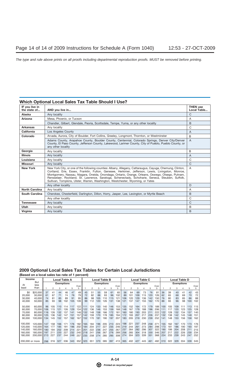| IF you live in<br>the state of | AND you live in                                                                                                                                                                                                                                                                                                                                                                                                                                                                                         | <b>THEN use</b><br>Local Table |
|--------------------------------|---------------------------------------------------------------------------------------------------------------------------------------------------------------------------------------------------------------------------------------------------------------------------------------------------------------------------------------------------------------------------------------------------------------------------------------------------------------------------------------------------------|--------------------------------|
| Alaska                         | Any locality                                                                                                                                                                                                                                                                                                                                                                                                                                                                                            | C                              |
| Arizona                        | Mesa, Phoenix, or Tucson                                                                                                                                                                                                                                                                                                                                                                                                                                                                                | A                              |
|                                | Chandler, Gilbert, Glendale, Peoria, Scottsdale, Tempe, Yuma, or any other locality                                                                                                                                                                                                                                                                                                                                                                                                                     | B                              |
| <b>Arkansas</b>                | Any locality                                                                                                                                                                                                                                                                                                                                                                                                                                                                                            | C                              |
| California                     | Los Angeles County                                                                                                                                                                                                                                                                                                                                                                                                                                                                                      | A                              |
| Colorado                       | Arvada, Aurora, City of Boulder, Fort Collins, Greeley, Longmont, Thornton, or Westminster                                                                                                                                                                                                                                                                                                                                                                                                              | B                              |
|                                | Adams County, Arapahoe County, Boulder County, Centennial, Colorado Springs, Denver City/Denver<br>County, El Paso County, Jefferson County, Lakewood, Larimer County, City of Pueblo, Pueblo County, or<br>any other locality                                                                                                                                                                                                                                                                          | A                              |
| Georgia                        | Any locality                                                                                                                                                                                                                                                                                                                                                                                                                                                                                            | B                              |
| <b>Illinois</b>                | Any locality                                                                                                                                                                                                                                                                                                                                                                                                                                                                                            | A                              |
| Louisiana                      | Any locality                                                                                                                                                                                                                                                                                                                                                                                                                                                                                            | C                              |
| <b>Missouri</b>                | Any locality                                                                                                                                                                                                                                                                                                                                                                                                                                                                                            | $\mathsf{C}$                   |
| <b>New York</b>                | New York City, or one of the following counties: Albany, Allegany, Cattaraugus, Cayuga, Chemung, Clinton,<br>Cortland, Erie, Essex, Franklin, Fulton, Genesee, Herkimer, Jefferson, Lewis, Livingston, Monroe,<br>Montgomery, Nassau, Niagara, Oneida, Onondaga, Ontario, Orange, Orleans, Oswego, Otsego, Putnam,<br>Rensselaer, Rockland, St. Lawrence, Saratoga, Schenectady, Schoharie, Seneca, Steuben, Suffolk,<br>Sullivan, Tompkins, Ulster, Warren, Washington, Westchester, Wyoming, or Yates | A                              |
|                                | Any other locality                                                                                                                                                                                                                                                                                                                                                                                                                                                                                      | D                              |
| <b>North Carolina</b>          | Any locality                                                                                                                                                                                                                                                                                                                                                                                                                                                                                            | A                              |
| <b>South Carolina</b>          | Cherokee, Chesterfield, Darlington, Dillon, Horry, Jasper, Lee, Lexington, or Myrtle Beach                                                                                                                                                                                                                                                                                                                                                                                                              | B                              |
|                                | Any other locality                                                                                                                                                                                                                                                                                                                                                                                                                                                                                      | C                              |
| <b>Tennessee</b>               | Any locality                                                                                                                                                                                                                                                                                                                                                                                                                                                                                            | C                              |
| <b>Utah</b>                    | Any locality                                                                                                                                                                                                                                                                                                                                                                                                                                                                                            | B                              |
| Virginia                       | Any locality                                                                                                                                                                                                                                                                                                                                                                                                                                                                                            | B                              |

#### **Which Optional Local Sales Tax Table Should I Use?**

#### **2009 Optional Local Sales Tax Tables for Certain Local Jurisdictions**

**(Based on a local sales tax rate of 1 percent)**

| <b>Income</b>                                             | Local Table A                                              |                                       |                                        |                                        |                                       |                                        |                                        | <b>Local Table B</b>                   |                                        |                                        |                                        |                                        |                                        |                                        | Local Table C                          |                                        |                                        |                                        |                                        |                                        |                                       | Local Table D                          |                                        |                                        |                                        |  |  |
|-----------------------------------------------------------|------------------------------------------------------------|---------------------------------------|----------------------------------------|----------------------------------------|---------------------------------------|----------------------------------------|----------------------------------------|----------------------------------------|----------------------------------------|----------------------------------------|----------------------------------------|----------------------------------------|----------------------------------------|----------------------------------------|----------------------------------------|----------------------------------------|----------------------------------------|----------------------------------------|----------------------------------------|----------------------------------------|---------------------------------------|----------------------------------------|----------------------------------------|----------------------------------------|----------------------------------------|--|--|
|                                                           | But<br>At<br>less<br>than<br>least                         |                                       | <b>Exemptions</b>                      |                                        |                                       |                                        |                                        |                                        | <b>Exemptions</b>                      |                                        |                                        |                                        |                                        |                                        |                                        | <b>Exemptions</b>                      |                                        |                                        |                                        | <b>Exemptions</b>                      |                                       |                                        |                                        |                                        |                                        |  |  |
|                                                           |                                                            |                                       |                                        | 3                                      |                                       | 5                                      | Over<br>5                              |                                        |                                        |                                        |                                        | 5                                      | Over<br>5                              |                                        | 2                                      | З                                      | 4                                      | 5                                      | Over                                   |                                        | 2                                     | 3                                      |                                        | 5                                      | Over<br>5                              |  |  |
| \$0                                                       | \$20,000                                                   | 37                                    | 41                                     | 44                                     | 46                                    | 47                                     | 49                                     | 45                                     | 51                                     | 55                                     | 59                                     | 61                                     | 65                                     | 56                                     | 64                                     | 69                                     | 73                                     | 76                                     | 81                                     | 36                                     | 39                                    | 40                                     | 41                                     | 42                                     | 43                                     |  |  |
| 20,000                                                    | 30.000                                                     | 61                                    | 67                                     | 71                                     | 74                                    | 76                                     | 79                                     | 72                                     | 82                                     | 88                                     | 93                                     | 96                                     | 102                                    | 89                                     | 101                                    | 109                                    | 115                                    | 120                                    | 126                                    | 62                                     | 65                                    | 68                                     | 69                                     | 70                                     | 72                                     |  |  |
| 30,000                                                    | 40.000                                                     | 74                                    | 81                                     | 85                                     | 89                                    | 91                                     | 95                                     | 86                                     | 98                                     | 105                                    | 10                                     | 115                                    | 121                                    | 106                                    | 120                                    | 129                                    | 136                                    | 142                                    | 150                                    | 76                                     | 80                                    | 83                                     | 85                                     | 86                                     | 88                                     |  |  |
| 40,000                                                    | 50.000                                                     | 85                                    | 93                                     | 98                                     | 102                                   | 105                                    | 109                                    | 99                                     | 112                                    | 120                                    | 126                                    | 131                                    | 138                                    | 121                                    | 137                                    | 147                                    | 155                                    | 162                                    | 170                                    | 88                                     | 93                                    | 96                                     | 98                                     | 100                                    | 102                                    |  |  |
| 50,000<br>60,000<br>70.000<br>80,000<br>90.000<br>100.000 | 60,000<br>70.000<br>80.000<br>90.000<br>100.000<br>120.000 | 96<br>106<br>116<br>125<br>134<br>147 | 105<br>115<br>126<br>136<br>145<br>158 | 110<br>121<br>132<br>142<br>152<br>166 | 14<br>126<br>137<br>147<br>157<br>171 | 117<br>129<br>141<br>151<br>162<br>176 | 122<br>134<br>146<br>157<br>167<br>182 | 111<br>122<br>132<br>142<br>152<br>165 | 124<br>136<br>148<br>159<br>170<br>184 | 133<br>146<br>158<br>170<br>181<br>196 | 140<br>153<br>166<br>178<br>190<br>205 | 146<br>159<br>172<br>185<br>197<br>213 | 153<br>168<br>181<br>194<br>207<br>223 | 135<br>148<br>160<br>172<br>183<br>198 | 152<br>167<br>180<br>193<br>205<br>221 | 164<br>179<br>193<br>207<br>219<br>237 | 172<br>188<br>203<br>217<br>230<br>248 | 179<br>196<br>211<br>226<br>239<br>258 | 189<br>206<br>222<br>237<br>252<br>271 | 100<br>111<br>122<br>132<br>141<br>155 | 105<br>17<br>128<br>138<br>148<br>162 | 109<br>120<br>132<br>142<br>153<br>167 | 111<br>123<br>134<br>145<br>156<br>170 | 113<br>125<br>137<br>148<br>158<br>173 | 115<br>128<br>140<br>151<br>162<br>176 |  |  |
| 120,000                                                   | 140.000                                                    | 164                                   | 177                                    | 185                                    | 191                                   | 196                                    | 202                                    | 184                                    | 204                                    | 217                                    | 227                                    | 235                                    | 246                                    | 219                                    | 244                                    | 261                                    | 273                                    | 284                                    | 298                                    | 173                                    | 181                                   | 186                                    | 190                                    | 193                                    | 197                                    |  |  |
| 140.000                                                   | 160.000                                                    | 180                                   | 194                                    | 202                                    | 209                                   | 214                                    | $22^{\circ}$                           | 201                                    | 222                                    | 236                                    | 247                                    | 255                                    | 267                                    | 237                                    | 264                                    | 282                                    | 296                                    | 307                                    | 322                                    | 190                                    | 199                                   | 204                                    | 208                                    | 211                                    | 215                                    |  |  |
| 160.000                                                   | 180.000                                                    | 197                                   | 211                                    | 220                                    | 227                                   | 232                                    | 240                                    | 218                                    | 241                                    | 256                                    | 267                                    | 276                                    | 289                                    | 256                                    | 285                                    | 304                                    | 318                                    | 330                                    | 346                                    | 207                                    | 217                                   | 222                                    | 226                                    | 230                                    | 234                                    |  |  |
| 180,000                                                   | 200.000                                                    | 213                                   | 227                                    | 237                                    | 244                                   | 249                                    | 257                                    | 235                                    | 258                                    | 274                                    | 285                                    | 295                                    | 308                                    | 274                                    | 304                                    | 323                                    | 339                                    | 351                                    | 368                                    | 224                                    | 233                                   | 239                                    | 243                                    | 247                                    | 252                                    |  |  |
| 200,000 or more                                           |                                                            | 298                                   | 316                                    | 327                                    | 336                                   | 343                                    | 352                                    | 323                                    | 351                                    | 370                                    | 385                                    | 397                                    | 413                                    | 365                                    | 402                                    | 427                                    | 445                                    | 461                                    | 482                                    | 310                                    | 322                                   | 329                                    | 334                                    | 339                                    | 345                                    |  |  |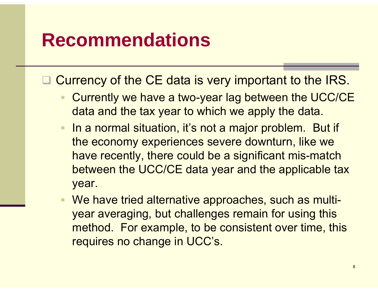### **Recommendations**

 $\Box$ Currency of the CE data is very important to the IRS.

- Currently we have a two-year lag between the UCC/CE data and the tax year to which we apply the data.
- $\blacksquare$ In a normal situation, it's not a major problem. But if the economy experiences severe downturn, like we have recently, there could be a significant mis-match between the UCC/CE data year and the applicable tax year.
- We have tried alternative approaches, such as multiyear averaging, but challenges remain for using this method. For example, to be consistent over time, this requires no change in UCC's.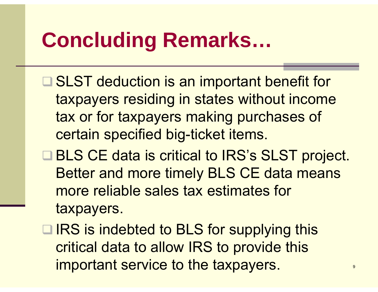### **Concluding Remarks …**

- **□ SLST deduction is an important benefit for** taxpayers residing in states without income tax or for taxpayers making purchases of certain specified big-ticket items.
- **□ BLS CE data is critical to IRS's SLST project.** Better and more timel y BLS CE data means more reliable sales tax estimates for taxpayers.
- **□ IRS is indebted to BLS for supplying this** critical data to allow IRS to provide this important service to the taxpayers.